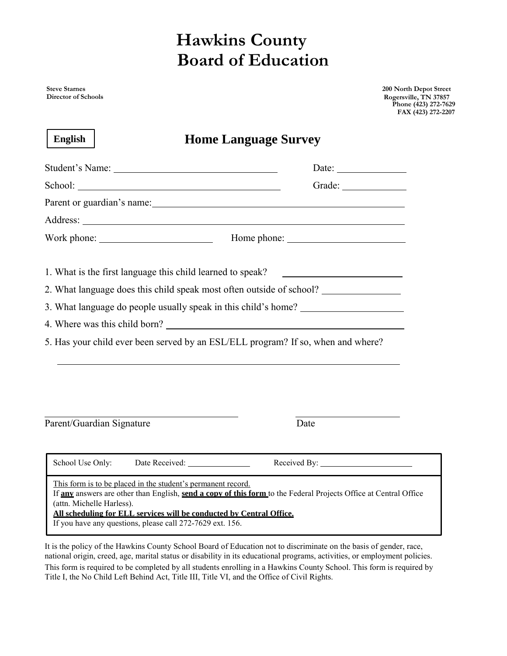## **Hawkins County Board of Education**

**Steve Starnes Director of Schools** **200 North Depot Street Rogersville, TN 37857 Phone (423) 272-7629 FAX (423) 272-2207**

| <b>English</b>                                                                            | <b>Home Language Survey</b>                                                                                                                                                              |       |
|-------------------------------------------------------------------------------------------|------------------------------------------------------------------------------------------------------------------------------------------------------------------------------------------|-------|
|                                                                                           |                                                                                                                                                                                          | Date: |
|                                                                                           |                                                                                                                                                                                          |       |
|                                                                                           | Parent or guardian's name: 1997 and 1997 and 1997 and 1997 and 1997 and 1997 and 1997 and 1997 and 1997 and 19                                                                           |       |
|                                                                                           |                                                                                                                                                                                          |       |
|                                                                                           |                                                                                                                                                                                          |       |
|                                                                                           | 1. What is the first language this child learned to speak?<br>2. What language does this child speak most often outside of school?                                                       |       |
|                                                                                           | 3. What language do people usually speak in this child's home? _________________                                                                                                         |       |
|                                                                                           |                                                                                                                                                                                          |       |
|                                                                                           | 5. Has your child ever been served by an ESL/ELL program? If so, when and where?                                                                                                         |       |
|                                                                                           |                                                                                                                                                                                          |       |
| Parent/Guardian Signature                                                                 | Date                                                                                                                                                                                     |       |
| School Use Only:                                                                          |                                                                                                                                                                                          |       |
| This form is to be placed in the student's permanent record.<br>(attn. Michelle Harless). | If any answers are other than English, send a copy of this form to the Federal Projects Office at Central Office<br>All scheduling for ELL services will be conducted by Central Office. |       |

If you have any questions, please call 272-7629 ext. 156.

It is the policy of the Hawkins County School Board of Education not to discriminate on the basis of gender, race, national origin, creed, age, marital status or disability in its educational programs, activities, or employment policies. This form is required to be completed by all students enrolling in a Hawkins County School. This form is required by Title I, the No Child Left Behind Act, Title III, Title VI, and the Office of Civil Rights.